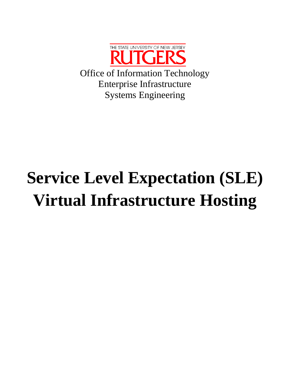

# **Service Level Expectation (SLE) Virtual Infrastructure Hosting**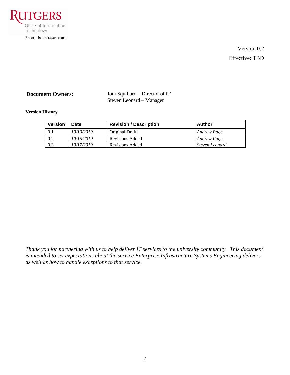

Version 0.2 Effective: TBD

**Document Owners:** Joni Squillaro – Director of IT Steven Leonard – Manager

### **Version History**

| <b>Version</b> | Date       | <b>Revision / Description</b> | Author             |
|----------------|------------|-------------------------------|--------------------|
| 0.1            | 10/10/2019 | Original Draft                | <b>Andrew Page</b> |
| 0.2            | 10/15/2019 | Revisions Added               | <b>Andrew Page</b> |
| 0.3            | 10/17/2019 | <b>Revisions Added</b>        | Steven Leonard     |

*Thank you for partnering with us to help deliver IT services to the university community. This document is intended to set expectations about the service Enterprise Infrastructure Systems Engineering delivers as well as how to handle exceptions to that service.*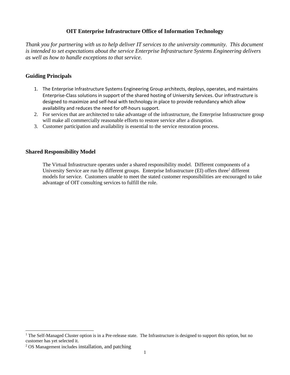# **OIT Enterprise Infrastructure Office of Information Technology**

*Thank you for partnering with us to help deliver IT services to the university community. This document is intended to set expectations about the service Enterprise Infrastructure Systems Engineering delivers as well as how to handle exceptions to that service.*

# **Guiding Principals**

- 1. The Enterprise Infrastructure Systems Engineering Group architects, deploys, operates, and maintains Enterprise-Class solutions in support of the shared hosting of University Services. Our infrastructure is designed to maximize and self-heal with technology in place to provide redundancy which allow availability and reduces the need for off-hours support.
- 2. For services that are architected to take advantage of the infrastructure, the Enterprise Infrastructure group will make all commercially reasonable efforts to restore service after a disruption.
- 3. Customer participation and availability is essential to the service restoration process.

## **Shared Responsibility Model**

The Virtual Infrastructure operates under a shared responsibility model. Different components of a University Service are run by different groups. Enterprise Infrastructure (EI) offers three<sup>1</sup> different models for service. Customers unable to meet the stated customer responsibilities are encouraged to take advantage of OIT consulting services to fulfill the role. 2

<sup>&</sup>lt;sup>1</sup> The Self-Managed Cluster option is in a Pre-release state. The Infrastructure is designed to support this option, but no customer has yet selected it.

<sup>2</sup> OS Management includes installation, and patching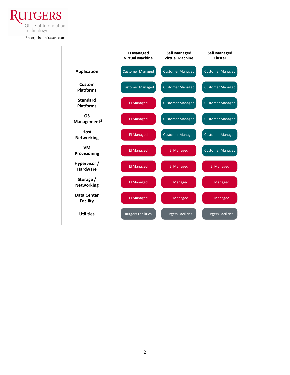**UTGERS** Office of Information Technology

Enterprise Infrastructure

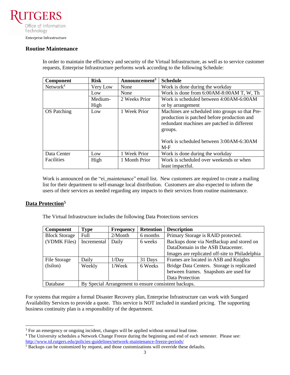Office of Information Technology

# Enterprise Infrastructure

#### **Routine Maintenance**

In order to maintain the efficiency and security of the Virtual Infrastructure, as well as to service customer requests, Enterprise Infrastructure performs work according to the following Schedule:

| Component            | <b>Risk</b> | Announcement <sup>3</sup> | <b>Schedule</b>                                                                                                                                                                                              |
|----------------------|-------------|---------------------------|--------------------------------------------------------------------------------------------------------------------------------------------------------------------------------------------------------------|
| Network <sup>4</sup> | Very Low    | None                      | Work is done during the workday                                                                                                                                                                              |
|                      | Low         | None                      | Work is done from 6:00AM-8:00AM T, W, Th                                                                                                                                                                     |
|                      | Medium-     | 2 Weeks Prior             | Work is scheduled between 4:00AM-6:00AM                                                                                                                                                                      |
|                      | High        |                           | or by arrangement                                                                                                                                                                                            |
| <b>OS</b> Patching   | Low         | 1 Week Prior              | Machines are scheduled into groups so that Pre-<br>production is patched before production and<br>redundant machines are patched in different<br>groups.<br>Work is scheduled between 3:00AM-6:30AM<br>$M-F$ |
| Data Center          | Low         | 1 Week Prior              | Work is done during the workday                                                                                                                                                                              |
| <b>Facilities</b>    | High        | 1 Month Prior             | Work is scheduled over weekends or when<br>least impactful.                                                                                                                                                  |

Work is announced on the "ei\_maintenance" email list. New customers are required to create a mailing list for their department to self-manage local distribution. Customers are also expected to inform the users of their services as needed regarding any impacts to their services from routine maintenance.

# **Data Protection<sup>5</sup>**

The Virtual Infrastructure includes the following Data Protections services

| <b>Component</b>     | <b>Type</b>                                          | <b>Frequency</b> | <b>Retention</b> | <b>Description</b>                             |
|----------------------|------------------------------------------------------|------------------|------------------|------------------------------------------------|
| <b>Block Storage</b> | Full                                                 | $2/M$ onth       | 6 months         | Primary Storage is RAID protected.             |
| (VDMK Files)         | Incremental                                          | Daily            | 6 weeks          | Backups done via NetBackup and stored on       |
|                      |                                                      |                  |                  | DataDomain in the ASB Datacenter.              |
|                      |                                                      |                  |                  | Images are replicated off-site to Philadelphia |
| File Storage         | Daily                                                | 1/Day            | 31 Days          | Frames are located in ASB and Knights          |
| (Isilon)             | Weekly                                               | 1/Week           | 6 Weeks          | Bridge Data Centers. Storage is replicated     |
|                      |                                                      |                  |                  | between frames. Snapshots are used for         |
|                      |                                                      |                  |                  | Data Protection                                |
| Database             | By Special Arrangement to ensure consistent backups. |                  |                  |                                                |

For systems that require a formal Disaster Recovery plan, Enterprise Infrastructure can work with Sungard Availability Services to provide a quote. This service is NOT included in standard pricing. The supporting business continuity plan is a responsibility of the department.

<sup>&</sup>lt;sup>3</sup> For an emergency or ongoing incident, changes will be applied without normal lead time.

<sup>&</sup>lt;sup>4</sup> The University schedules a Network Change Freeze during the beginning and end of each semester. Please see: <http://www.td.rutgers.edu/policies-guidelines/network-maintenance-freeze-periods/>

<sup>&</sup>lt;sup>5</sup> Backups can be customized by request, and those customizations will override these defaults.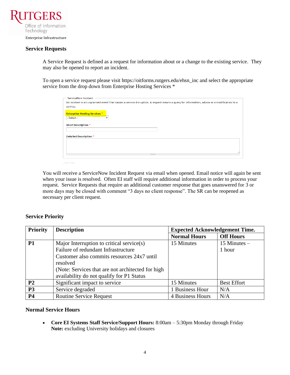

### **Service Requests**

A Service Request is defined as a request for information about or a change to the existing service. They may also be opened to report an incident.

To open a service request please visit https://oitforms.rutgers.edu/ehsn\_inc and select the appropriate service from the drop down from Enterprise Hosting Services \*

| ServiceNow Incident                                |                                                                                                                                            |
|----------------------------------------------------|--------------------------------------------------------------------------------------------------------------------------------------------|
|                                                    | An incident is an unplanned event that causes a service disruption. A request means a query for information, advice or a modification to a |
| service.                                           |                                                                                                                                            |
| <b>Enterprise Hosting Services *</b><br>- Select - |                                                                                                                                            |
| <b>Short Description *</b>                         |                                                                                                                                            |
| <b>Detailed Description *</b>                      |                                                                                                                                            |
|                                                    |                                                                                                                                            |
|                                                    |                                                                                                                                            |
|                                                    | $\frac{1}{2}$                                                                                                                              |

You will receive a ServiceNow Incident Request via email when opened. Email notice will again be sent when your issue is resolved. Often EI staff will require additional information in order to process your request. Service Requests that require an additional customer response that goes unanswered for 3 or more days may be closed with comment "3 days no client response". The SR can be reopened as necessary per client request.

# **Service Priority**

| <b>Priority</b> | <b>Description</b>                                                                                                                                                                                                                            | <b>Expected Acknowledgement Time.</b> |                          |  |
|-----------------|-----------------------------------------------------------------------------------------------------------------------------------------------------------------------------------------------------------------------------------------------|---------------------------------------|--------------------------|--|
|                 |                                                                                                                                                                                                                                               | <b>Normal Hours</b>                   | <b>Off Hours</b>         |  |
| <b>P1</b>       | Major Interruption to critical service(s)<br>Failure of redundant Infrastructure<br>Customer also commits resources 24x7 until<br>resolved<br>(Note: Services that are not architected for high)<br>availability do not qualify for P1 Status | 15 Minutes                            | 15 Minutes $-$<br>1 hour |  |
| P <sub>2</sub>  | Significant impact to service                                                                                                                                                                                                                 | 15 Minutes                            | <b>Best Effort</b>       |  |
| <b>P3</b>       | Service degraded                                                                                                                                                                                                                              | 1 Business Hour                       | N/A                      |  |
| <b>P4</b>       | <b>Routine Service Request</b>                                                                                                                                                                                                                | 4 Business Hours                      | N/A                      |  |

#### **Normal Service Hours**

• **Core EI Systems Staff Service/Support Hours:** 8:00am – 5:30pm Monday through Friday **Note:** excluding University holidays and closures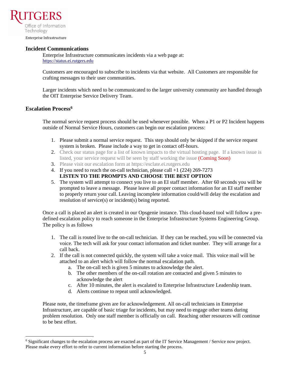

Enterprise Infrastructure

#### **Incident Communications**

Enterprise Infrastructure communicates incidents via a web page at: [https://status.ei.rutgers.edu](https://status.ei.rutgers.edu/)

Customers are encouraged to subscribe to incidents via that website. All Customers are responsible for crafting messages to their user communities.

Larger incidents which need to be communicated to the larger university community are handled through the OIT Enterprise Service Delivery Team.

### **Escalation Process<sup>6</sup>**

The normal service request process should be used whenever possible. When a P1 or P2 Incident happens outside of Normal Service Hours, customers can begin our escalation process:

- 1. Please submit a normal service request. This step should only be skipped if the service request system is broken. Please include a way to get in contact off-hours.
- 2. Check our status page for a list of known impacts to the virtual hosting page. If a known issue is listed, your service request will be seen by staff working the issue (Coming Soon)
- 3. Please visit our escalation form at https://esclate.ei.rutgers.edu
- 4. If you need to reach the on-call technician, please call +1 (224) 269-7273 **LISTEN TO THE PROMPTS AND CHOOSE THE BEST OPTION**
- 5. The system will attempt to connect you live to an EI staff member. After 60 seconds you will be prompted to leave a message. Please leave all proper contact information for an EI staff member to properly return your call. Leaving incomplete information could/will delay the escalation and resolution of service(s) or incident(s) being reported.

Once a call is placed an alert is created in our Opsgenie instance. This cloud-based tool will follow a predefined escalation policy to reach someone in the Enterprise Infrastructure Systems Engineering Group. The policy is as follows

- 1. The call is routed live to the on-call technician. If they can be reached, you will be connected via voice. The tech will ask for your contact information and ticket number. They will arrange for a call back.
- 2. If the call is not connected quickly, the system will take a voice mail. This voice mail will be attached to an alert which will follow the normal escalation path.
	- a. The on-call tech is given 5 minutes to acknowledge the alert.
	- b. The other members of the on-call rotation are contacted and given 5 minutes to acknowledge the alert
	- c. After 10 minutes, the alert is escalated to Enterprise Infrastructure Leadership team.
	- d. Alerts continue to repeat until acknowledged.

Please note, the timeframe given are for acknowledgement. All on-call technicians in Enterprise Infrastructure, are capable of basic triage for incidents, but may need to engage other teams during problem resolution. Only one staff member is officially on call. Reaching other resources will continue to be best effort.

<sup>&</sup>lt;sup>6</sup> Significant changes to the escalation process are exacted as part of the IT Service Management / Service now project. Please make every effort to refer to current information before starting the process.